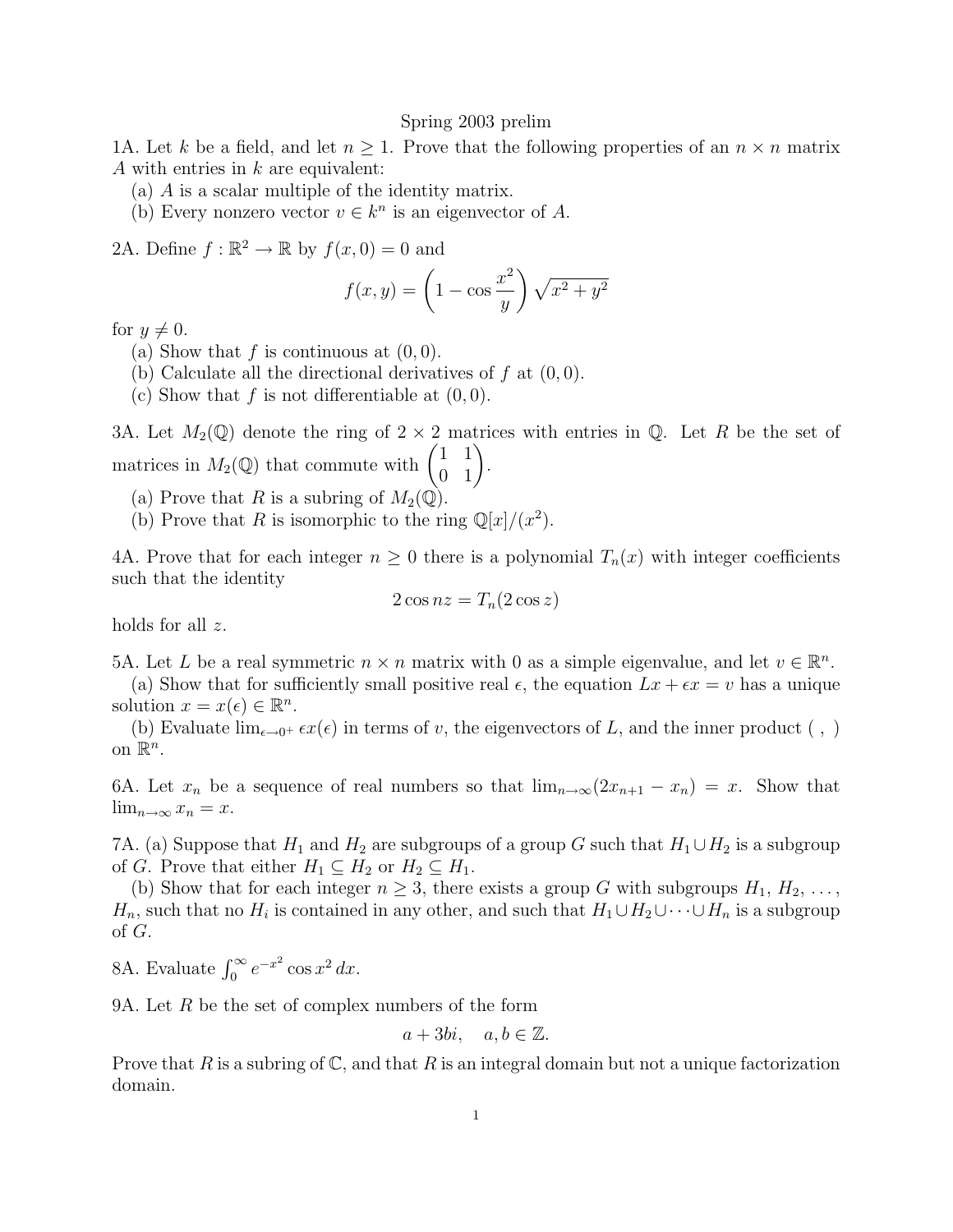## Spring 2003 prelim

1A. Let k be a field, and let  $n \geq 1$ . Prove that the following properties of an  $n \times n$  matrix A with entries in  $k$  are equivalent:

- (a) A is a scalar multiple of the identity matrix.
- (b) Every nonzero vector  $v \in k^n$  is an eigenvector of A.

2A. Define  $f : \mathbb{R}^2 \to \mathbb{R}$  by  $f(x, 0) = 0$  and

$$
f(x,y) = \left(1 - \cos\frac{x^2}{y}\right)\sqrt{x^2 + y^2}
$$

for  $y \neq 0$ .

- (a) Show that f is continuous at  $(0, 0)$ .
- (b) Calculate all the directional derivatives of  $f$  at  $(0, 0)$ .
- (c) Show that  $f$  is not differentiable at  $(0, 0)$ .

3A. Let  $M_2(\mathbb{Q})$  denote the ring of  $2 \times 2$  matrices with entries in  $\mathbb{Q}$ . Let R be the set of matrices in  $M_2(\mathbb{Q})$  that commute with  $\begin{pmatrix} 1 & 1 \\ 0 & 1 \end{pmatrix}$ .

- (a) Prove that R is a subring of  $M_2(\mathbb{Q})$ .
- (b) Prove that R is isomorphic to the ring  $\mathbb{Q}[x]/(x^2)$ .

4A. Prove that for each integer  $n \geq 0$  there is a polynomial  $T_n(x)$  with integer coefficients such that the identity

$$
2\cos nz = T_n(2\cos z)
$$

holds for all z.

5A. Let L be a real symmetric  $n \times n$  matrix with 0 as a simple eigenvalue, and let  $v \in \mathbb{R}^n$ .

(a) Show that for sufficiently small positive real  $\epsilon$ , the equation  $Lx + \epsilon x = v$  has a unique solution  $x = x(\epsilon) \in \mathbb{R}^n$ .

(b) Evaluate  $\lim_{\epsilon \to 0^+} \epsilon x(\epsilon)$  in terms of v, the eigenvectors of L, and the inner product (,) on  $\mathbb{R}^n$ .

6A. Let  $x_n$  be a sequence of real numbers so that  $\lim_{n\to\infty}(2x_{n+1}-x_n)=x$ . Show that  $\lim_{n\to\infty}x_n=x.$ 

7A. (a) Suppose that  $H_1$  and  $H_2$  are subgroups of a group G such that  $H_1 \cup H_2$  is a subgroup of G. Prove that either  $H_1 \subseteq H_2$  or  $H_2 \subseteq H_1$ .

(b) Show that for each integer  $n \geq 3$ , there exists a group G with subgroups  $H_1, H_2, \ldots$ ,  $H_n$ , such that no  $H_i$  is contained in any other, and such that  $H_1 \cup H_2 \cup \cdots \cup H_n$  is a subgroup of G.

8A. Evaluate  $\int_0^\infty e^{-x^2} \cos x^2 dx$ .

9A. Let  $R$  be the set of complex numbers of the form

$$
a+3bi, \quad a,b \in \mathbb{Z}.
$$

Prove that R is a subring of  $\mathbb{C}$ , and that R is an integral domain but not a unique factorization domain.